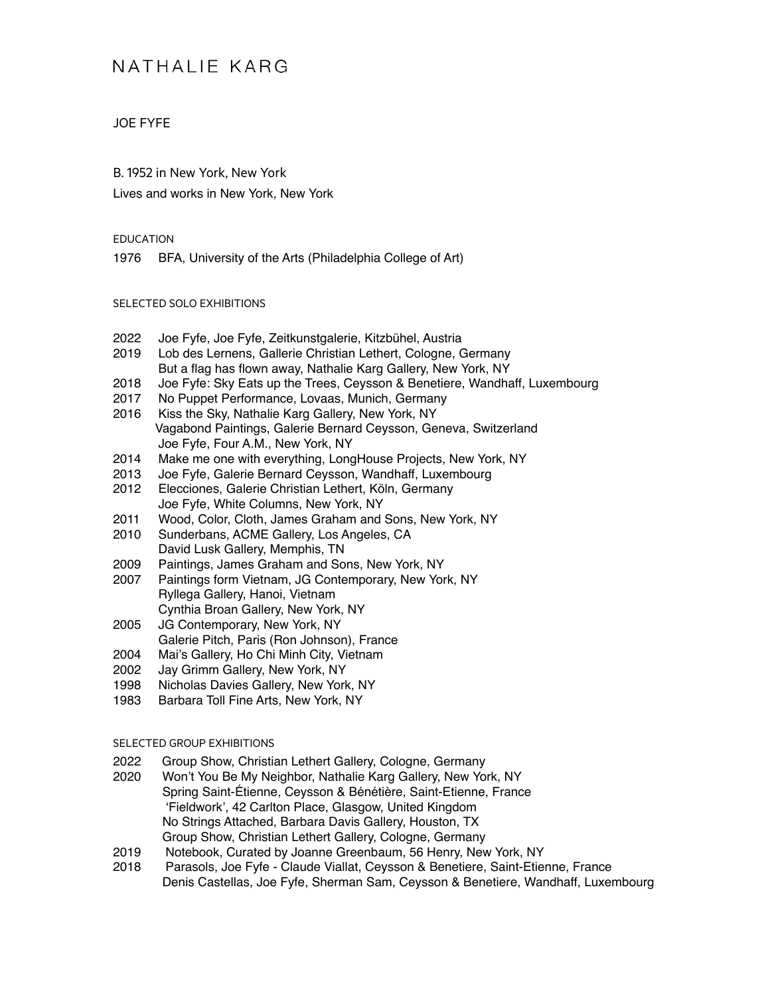### JOE FYFE

B. 1952 in New York, New York Lives and works in New York, New York

#### EDUCATION

1976 BFA, University of the Arts (Philadelphia College of Art)

#### SELECTED SOLO EXHIBITIONS

- 2022 Joe Fyfe, Joe Fyfe, Zeitkunstgalerie, Kitzbühel, Austria
- 2019 Lob des Lernens, Gallerie Christian Lethert, Cologne, Germany But a flag has flown away, Nathalie Karg Gallery, New York, NY
- 2018 Joe Fyfe: Sky Eats up the Trees, Ceysson & Benetiere, Wandhaff, Luxembourg
- 2017 No Puppet Performance, Lovaas, Munich, Germany
- 2016 Kiss the Sky, Nathalie Karg Gallery, New York, NY Vagabond Paintings, Galerie Bernard Ceysson, Geneva, Switzerland Joe Fyfe, Four A.M., New York, NY
- 2014 Make me one with everything, LongHouse Projects, New York, NY
- 2013 Joe Fyfe, Galerie Bernard Ceysson, Wandhaff, Luxembourg 2012 Elecciones, Galerie Christian Lethert, Köln, Germany
- Joe Fyfe, White Columns, New York, NY 2011 Wood, Color, Cloth, James Graham and Sons, New York, NY
- 2010 Sunderbans, ACME Gallery, Los Angeles, CA David Lusk Gallery, Memphis, TN
- 2009 Paintings, James Graham and Sons, New York, NY
- 2007 Paintings form Vietnam, JG Contemporary, New York, NY Ryllega Gallery, Hanoi, Vietnam Cynthia Broan Gallery, New York, NY
- 2005 JG Contemporary, New York, NY Galerie Pitch, Paris (Ron Johnson), France
- 2004 Mai's Gallery, Ho Chi Minh City, Vietnam
- 2002 Jay Grimm Gallery, New York, NY
- 1998 Nicholas Davies Gallery, New York, NY
- 1983 Barbara Toll Fine Arts, New York, NY

#### SELECTED GROUP EXHIBITIONS

- 2022 Group Show, Christian Lethert Gallery, Cologne, Germany
- 2020 Won't You Be My Neighbor, Nathalie Karg Gallery, New York, NY Spring Saint-Étienne, Ceysson & Bénétière, Saint-Etienne, France 'Fieldwork', 42 Carlton Place, Glasgow, United Kingdom No Strings Attached, Barbara Davis Gallery, Houston, TX Group Show, Christian Lethert Gallery, Cologne, Germany
- 2019 Notebook, Curated by Joanne Greenbaum, 56 Henry, New York, NY
- 2018 Parasols, Joe Fyfe Claude Viallat, Ceysson & Benetiere, Saint-Etienne, France Denis Castellas, Joe Fyfe, Sherman Sam, Ceysson & Benetiere, Wandhaff, Luxembourg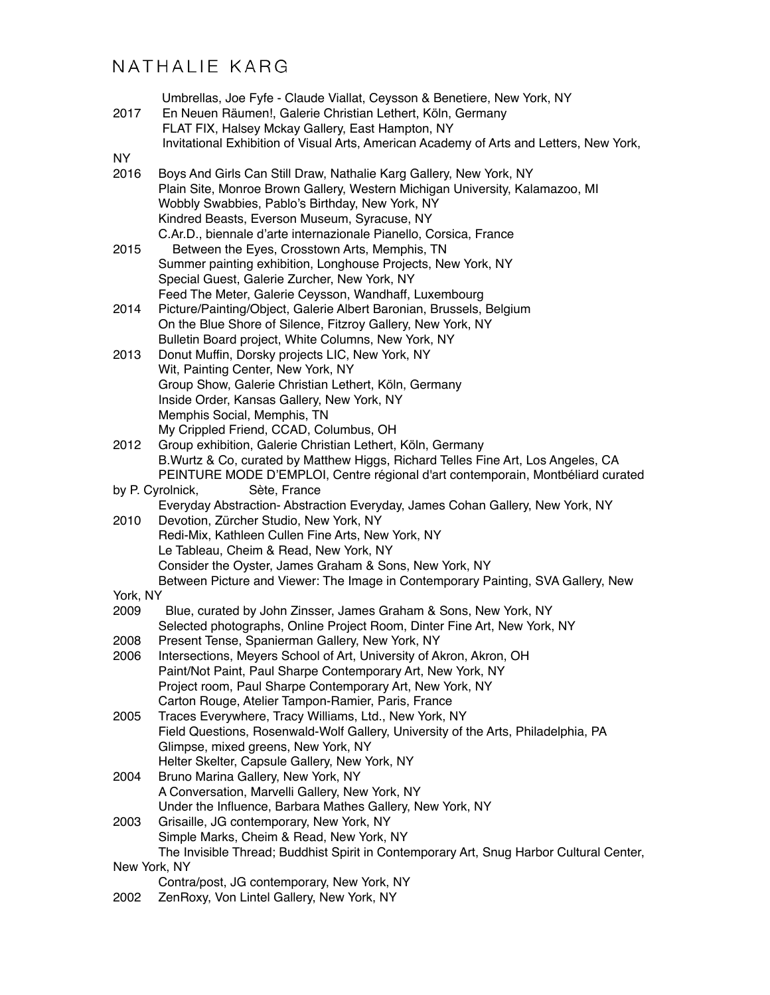|                                  | Umbrellas, Joe Fyfe - Claude Viallat, Ceysson & Benetiere, New York, NY                                                             |
|----------------------------------|-------------------------------------------------------------------------------------------------------------------------------------|
| 2017                             | En Neuen Räumen!, Galerie Christian Lethert, Köln, Germany                                                                          |
|                                  | FLAT FIX, Halsey Mckay Gallery, East Hampton, NY                                                                                    |
|                                  | Invitational Exhibition of Visual Arts, American Academy of Arts and Letters, New York,                                             |
| <b>NY</b>                        | Boys And Girls Can Still Draw, Nathalie Karg Gallery, New York, NY                                                                  |
| 2016                             | Plain Site, Monroe Brown Gallery, Western Michigan University, Kalamazoo, MI                                                        |
|                                  | Wobbly Swabbies, Pablo's Birthday, New York, NY                                                                                     |
|                                  | Kindred Beasts, Everson Museum, Syracuse, NY                                                                                        |
|                                  | C.Ar.D., biennale d'arte internazionale Pianello, Corsica, France                                                                   |
| 2015                             | Between the Eyes, Crosstown Arts, Memphis, TN                                                                                       |
|                                  | Summer painting exhibition, Longhouse Projects, New York, NY                                                                        |
|                                  | Special Guest, Galerie Zurcher, New York, NY                                                                                        |
|                                  | Feed The Meter, Galerie Ceysson, Wandhaff, Luxembourg                                                                               |
| 2014                             | Picture/Painting/Object, Galerie Albert Baronian, Brussels, Belgium                                                                 |
|                                  | On the Blue Shore of Silence, Fitzroy Gallery, New York, NY                                                                         |
|                                  | Bulletin Board project, White Columns, New York, NY                                                                                 |
| 2013                             | Donut Muffin, Dorsky projects LIC, New York, NY                                                                                     |
|                                  | Wit, Painting Center, New York, NY                                                                                                  |
|                                  | Group Show, Galerie Christian Lethert, Köln, Germany                                                                                |
|                                  | Inside Order, Kansas Gallery, New York, NY                                                                                          |
|                                  | Memphis Social, Memphis, TN                                                                                                         |
| 2012                             | My Crippled Friend, CCAD, Columbus, OH<br>Group exhibition, Galerie Christian Lethert, Köln, Germany                                |
|                                  | B. Wurtz & Co, curated by Matthew Higgs, Richard Telles Fine Art, Los Angeles, CA                                                   |
|                                  | PEINTURE MODE D'EMPLOI, Centre régional d'art contemporain, Montbéliard curated                                                     |
| Sète, France<br>by P. Cyrolnick, |                                                                                                                                     |
|                                  | Everyday Abstraction- Abstraction Everyday, James Cohan Gallery, New York, NY                                                       |
| 2010                             | Devotion, Zürcher Studio, New York, NY                                                                                              |
|                                  | Redi-Mix, Kathleen Cullen Fine Arts, New York, NY                                                                                   |
|                                  | Le Tableau, Cheim & Read, New York, NY                                                                                              |
|                                  | Consider the Oyster, James Graham & Sons, New York, NY                                                                              |
|                                  | Between Picture and Viewer: The Image in Contemporary Painting, SVA Gallery, New                                                    |
| York, NY                         |                                                                                                                                     |
| 2009                             | Blue, curated by John Zinsser, James Graham & Sons, New York, NY                                                                    |
| 2008                             | Selected photographs, Online Project Room, Dinter Fine Art, New York, NY<br>Present Tense, Spanierman Gallery, New York, NY         |
| 2006                             | Intersections, Meyers School of Art, University of Akron, Akron, OH                                                                 |
|                                  | Paint/Not Paint, Paul Sharpe Contemporary Art, New York, NY                                                                         |
|                                  | Project room, Paul Sharpe Contemporary Art, New York, NY                                                                            |
|                                  | Carton Rouge, Atelier Tampon-Ramier, Paris, France                                                                                  |
| 2005                             | Traces Everywhere, Tracy Williams, Ltd., New York, NY                                                                               |
|                                  | Field Questions, Rosenwald-Wolf Gallery, University of the Arts, Philadelphia, PA                                                   |
|                                  | Glimpse, mixed greens, New York, NY                                                                                                 |
|                                  | Helter Skelter, Capsule Gallery, New York, NY                                                                                       |
| 2004                             | Bruno Marina Gallery, New York, NY                                                                                                  |
|                                  | A Conversation, Marvelli Gallery, New York, NY                                                                                      |
|                                  | Under the Influence, Barbara Mathes Gallery, New York, NY                                                                           |
| 2003                             | Grisaille, JG contemporary, New York, NY                                                                                            |
|                                  | Simple Marks, Cheim & Read, New York, NY<br>The Invisible Thread; Buddhist Spirit in Contemporary Art, Snug Harbor Cultural Center, |
| New York, NY                     |                                                                                                                                     |
|                                  | Contra/post, JG contemporary, New York, NY                                                                                          |
| 2002                             | ZenRoxy, Von Lintel Gallery, New York, NY                                                                                           |
|                                  |                                                                                                                                     |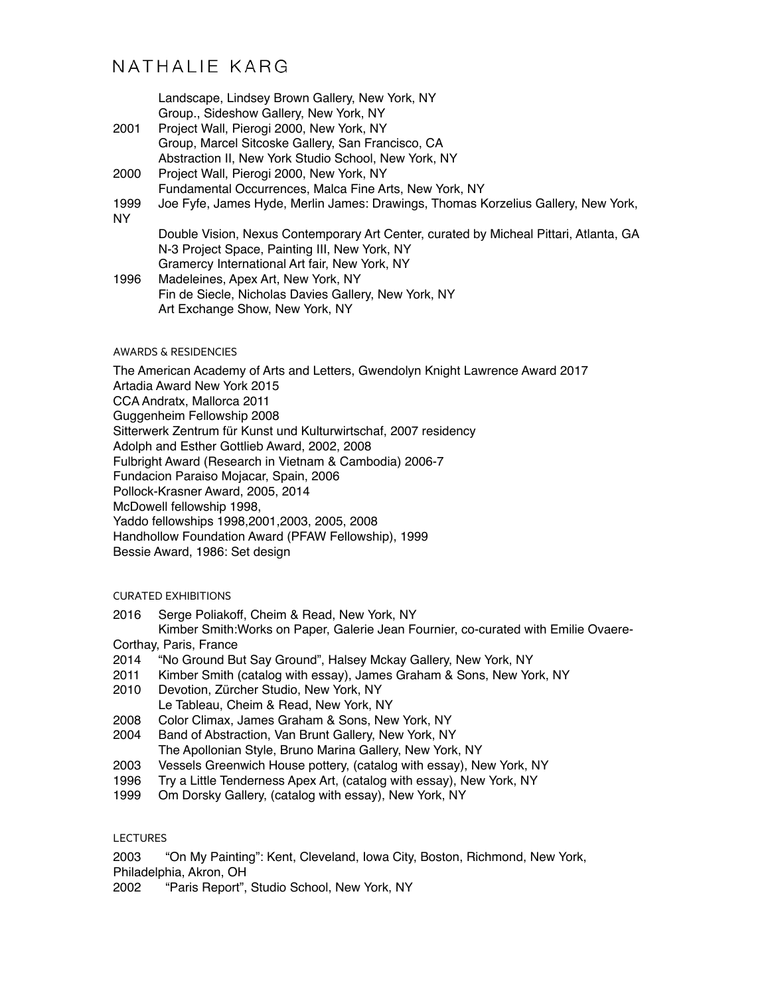Landscape, Lindsey Brown Gallery, New York, NY Group., Sideshow Gallery, New York, NY

- 2001 Project Wall, Pierogi 2000, New York, NY Group, Marcel Sitcoske Gallery, San Francisco, CA Abstraction II, New York Studio School, New York, NY
- 2000 Project Wall, Pierogi 2000, New York, NY Fundamental Occurrences, Malca Fine Arts, New York, NY
- 1999 Joe Fyfe, James Hyde, Merlin James: Drawings, Thomas Korzelius Gallery, New York,

NY

Double Vision, Nexus Contemporary Art Center, curated by Micheal Pittari, Atlanta, GA N-3 Project Space, Painting III, New York, NY Gramercy International Art fair, New York, NY

1996 Madeleines, Apex Art, New York, NY Fin de Siecle, Nicholas Davies Gallery, New York, NY Art Exchange Show, New York, NY

#### AWARDS & RESIDENCIES

The American Academy of Arts and Letters, Gwendolyn Knight Lawrence Award 2017 Artadia Award New York 2015 CCA Andratx, Mallorca 2011 Guggenheim Fellowship 2008 Sitterwerk Zentrum für Kunst und Kulturwirtschaf, 2007 residency Adolph and Esther Gottlieb Award, 2002, 2008 Fulbright Award (Research in Vietnam & Cambodia) 2006-7 Fundacion Paraiso Mojacar, Spain, 2006 Pollock-Krasner Award, 2005, 2014 McDowell fellowship 1998, Yaddo fellowships 1998,2001,2003, 2005, 2008 Handhollow Foundation Award (PFAW Fellowship), 1999 Bessie Award, 1986: Set design

### CURATED EXHIBITIONS

2016 Serge Poliakoff, Cheim & Read, New York, NY

 Kimber Smith:Works on Paper, Galerie Jean Fournier, co-curated with Emilie Ovaere-Corthay, Paris, France

- 2014 "No Ground But Say Ground", Halsey Mckay Gallery, New York, NY
- 2011 Kimber Smith (catalog with essay), James Graham & Sons, New York, NY
- 2010 Devotion, Zürcher Studio, New York, NY Le Tableau, Cheim & Read, New York, NY
- 2008 Color Climax, James Graham & Sons, New York, NY
- 2004 Band of Abstraction, Van Brunt Gallery, New York, NY
	- The Apollonian Style, Bruno Marina Gallery, New York, NY
- 2003 Vessels Greenwich House pottery, (catalog with essay), New York, NY
- 1996 Try a Little Tenderness Apex Art, (catalog with essay), New York, NY
- 1999 Om Dorsky Gallery, (catalog with essay), New York, NY

#### LECTURES

2003 "On My Painting": Kent, Cleveland, Iowa City, Boston, Richmond, New York, Philadelphia, Akron, OH

2002 "Paris Report", Studio School, New York, NY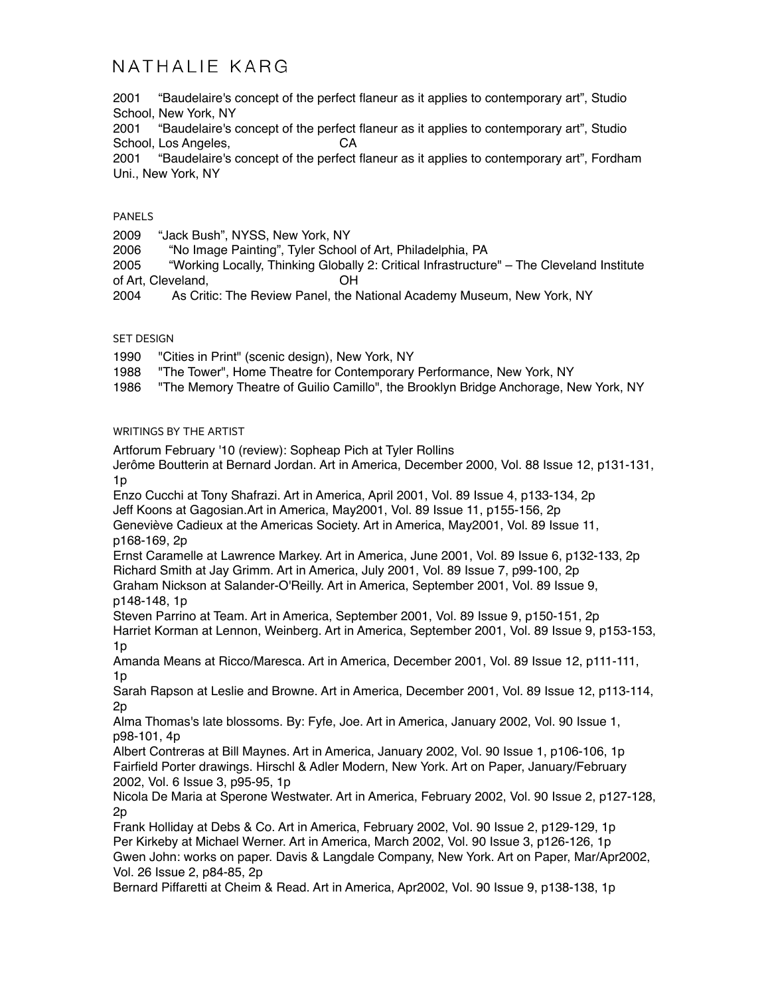2001 "Baudelaire's concept of the perfect flaneur as it applies to contemporary art", Studio School, New York, NY

2001 "Baudelaire's concept of the perfect flaneur as it applies to contemporary art", Studio School, Los Angeles, CA

2001 "Baudelaire's concept of the perfect flaneur as it applies to contemporary art", Fordham Uni., New York, NY

#### PANELS

2009 "Jack Bush", NYSS, New York, NY

2006 "No Image Painting", Tyler School of Art, Philadelphia, PA

2005 "Working Locally, Thinking Globally 2: Critical Infrastructure" – The Cleveland Institute of Art, Cleveland, OH

2004 As Critic: The Review Panel, the National Academy Museum, New York, NY

#### SET DESIGN

1990 "Cities in Print" (scenic design), New York, NY

1988 "The Tower", Home Theatre for Contemporary Performance, New York, NY

1986 "The Memory Theatre of Guilio Camillo", the Brooklyn Bridge Anchorage, New York, NY

#### WRITINGS BY THE ARTIST

Artforum February '10 (review): Sopheap Pich at Tyler Rollins

Jerôme Boutterin at Bernard Jordan. Art in America, December 2000, Vol. 88 Issue 12, p131-131, 1p

Enzo Cucchi at Tony Shafrazi. Art in America, April 2001, Vol. 89 Issue 4, p133-134, 2p

Jeff Koons at Gagosian.Art in America, May2001, Vol. 89 Issue 11, p155-156, 2p

Geneviève Cadieux at the Americas Society. Art in America, May2001, Vol. 89 Issue 11, p168-169, 2p

Ernst Caramelle at Lawrence Markey. Art in America, June 2001, Vol. 89 Issue 6, p132-133, 2p Richard Smith at Jay Grimm. Art in America, July 2001, Vol. 89 Issue 7, p99-100, 2p Graham Nickson at Salander-O'Reilly. Art in America, September 2001, Vol. 89 Issue 9, p148-148, 1p

Steven Parrino at Team. Art in America, September 2001, Vol. 89 Issue 9, p150-151, 2p Harriet Korman at Lennon, Weinberg. Art in America, September 2001, Vol. 89 Issue 9, p153-153, 1p

Amanda Means at Ricco/Maresca. Art in America, December 2001, Vol. 89 Issue 12, p111-111,  $1<sub>p</sub>$ 

Sarah Rapson at Leslie and Browne. Art in America, December 2001, Vol. 89 Issue 12, p113-114, 2p

Alma Thomas's late blossoms. By: Fyfe, Joe. Art in America, January 2002, Vol. 90 Issue 1, p98-101, 4p

Albert Contreras at Bill Maynes. Art in America, January 2002, Vol. 90 Issue 1, p106-106, 1p Fairfield Porter drawings. Hirschl & Adler Modern, New York. Art on Paper, January/February 2002, Vol. 6 Issue 3, p95-95, 1p

Nicola De Maria at Sperone Westwater. Art in America, February 2002, Vol. 90 Issue 2, p127-128, 2p

Frank Holliday at Debs & Co. Art in America, February 2002, Vol. 90 Issue 2, p129-129, 1p Per Kirkeby at Michael Werner. Art in America, March 2002, Vol. 90 Issue 3, p126-126, 1p Gwen John: works on paper. Davis & Langdale Company, New York. Art on Paper, Mar/Apr2002, Vol. 26 Issue 2, p84-85, 2p

Bernard Piffaretti at Cheim & Read. Art in America, Apr2002, Vol. 90 Issue 9, p138-138, 1p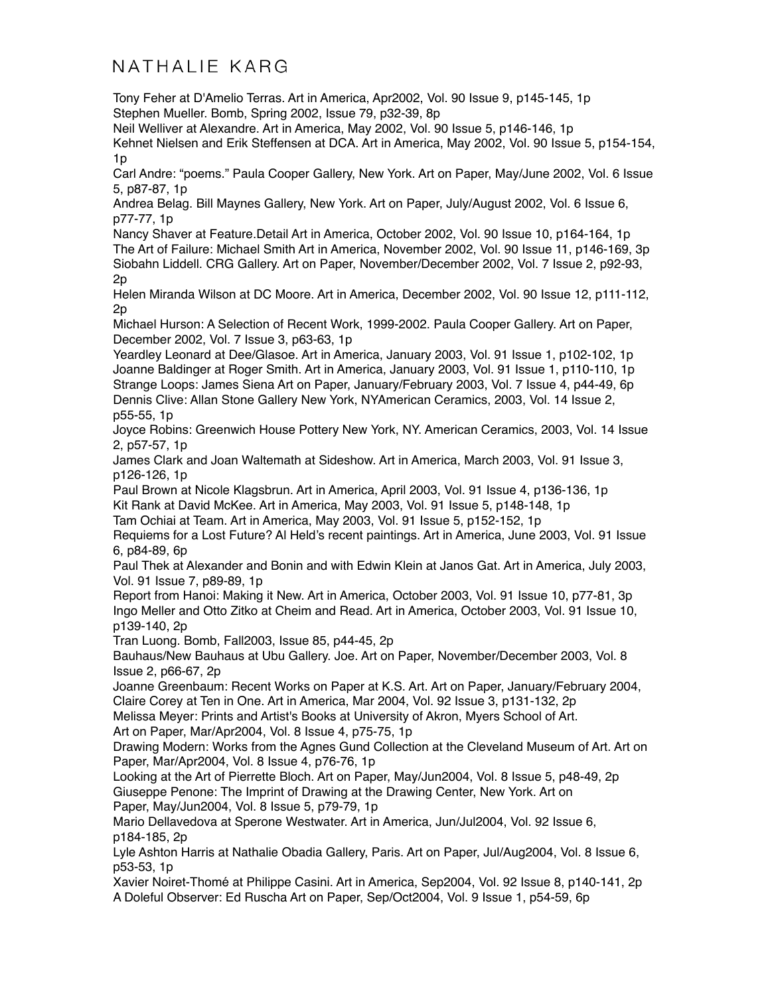Tony Feher at D'Amelio Terras. Art in America, Apr2002, Vol. 90 Issue 9, p145-145, 1p Stephen Mueller. Bomb, Spring 2002, Issue 79, p32-39, 8p

Neil Welliver at Alexandre. Art in America, May 2002, Vol. 90 Issue 5, p146-146, 1p

Kehnet Nielsen and Erik Steffensen at DCA. Art in America, May 2002, Vol. 90 Issue 5, p154-154, 1p

Carl Andre: "poems." Paula Cooper Gallery, New York. Art on Paper, May/June 2002, Vol. 6 Issue 5, p87-87, 1p

Andrea Belag. Bill Maynes Gallery, New York. Art on Paper, July/August 2002, Vol. 6 Issue 6, p77-77, 1p

Nancy Shaver at Feature.Detail Art in America, October 2002, Vol. 90 Issue 10, p164-164, 1p The Art of Failure: Michael Smith Art in America, November 2002, Vol. 90 Issue 11, p146-169, 3p Siobahn Liddell. CRG Gallery. Art on Paper, November/December 2002, Vol. 7 Issue 2, p92-93, 2p

Helen Miranda Wilson at DC Moore. Art in America, December 2002, Vol. 90 Issue 12, p111-112, 2p

Michael Hurson: A Selection of Recent Work, 1999-2002. Paula Cooper Gallery. Art on Paper, December 2002, Vol. 7 Issue 3, p63-63, 1p

Yeardley Leonard at Dee/Glasoe. Art in America, January 2003, Vol. 91 Issue 1, p102-102, 1p Joanne Baldinger at Roger Smith. Art in America, January 2003, Vol. 91 Issue 1, p110-110, 1p Strange Loops: James Siena Art on Paper, January/February 2003, Vol. 7 Issue 4, p44-49, 6p Dennis Clive: Allan Stone Gallery New York, NYAmerican Ceramics, 2003, Vol. 14 Issue 2, p55-55, 1p

Joyce Robins: Greenwich House Pottery New York, NY. American Ceramics, 2003, Vol. 14 Issue 2, p57-57, 1p

James Clark and Joan Waltemath at Sideshow. Art in America, March 2003, Vol. 91 Issue 3, p126-126, 1p

Paul Brown at Nicole Klagsbrun. Art in America, April 2003, Vol. 91 Issue 4, p136-136, 1p Kit Rank at David McKee. Art in America, May 2003, Vol. 91 Issue 5, p148-148, 1p

Tam Ochiai at Team. Art in America, May 2003, Vol. 91 Issue 5, p152-152, 1p

Requiems for a Lost Future? Al Held's recent paintings. Art in America, June 2003, Vol. 91 Issue 6, p84-89, 6p

Paul Thek at Alexander and Bonin and with Edwin Klein at Janos Gat. Art in America, July 2003, Vol. 91 Issue 7, p89-89, 1p

Report from Hanoi: Making it New. Art in America, October 2003, Vol. 91 Issue 10, p77-81, 3p Ingo Meller and Otto Zitko at Cheim and Read. Art in America, October 2003, Vol. 91 Issue 10, p139-140, 2p

Tran Luong. Bomb, Fall2003, Issue 85, p44-45, 2p

Bauhaus/New Bauhaus at Ubu Gallery. Joe. Art on Paper, November/December 2003, Vol. 8 Issue 2, p66-67, 2p

Joanne Greenbaum: Recent Works on Paper at K.S. Art. Art on Paper, January/February 2004, Claire Corey at Ten in One. Art in America, Mar 2004, Vol. 92 Issue 3, p131-132, 2p

Melissa Meyer: Prints and Artist's Books at University of Akron, Myers School of Art. Art on Paper, Mar/Apr2004, Vol. 8 Issue 4, p75-75, 1p

Drawing Modern: Works from the Agnes Gund Collection at the Cleveland Museum of Art. Art on Paper, Mar/Apr2004, Vol. 8 Issue 4, p76-76, 1p

Looking at the Art of Pierrette Bloch. Art on Paper, May/Jun2004, Vol. 8 Issue 5, p48-49, 2p Giuseppe Penone: The Imprint of Drawing at the Drawing Center, New York. Art on Paper, May/Jun2004, Vol. 8 Issue 5, p79-79, 1p

Mario Dellavedova at Sperone Westwater. Art in America, Jun/Jul2004, Vol. 92 Issue 6, p184-185, 2p

Lyle Ashton Harris at Nathalie Obadia Gallery, Paris. Art on Paper, Jul/Aug2004, Vol. 8 Issue 6, p53-53, 1p

Xavier Noiret-Thomé at Philippe Casini. Art in America, Sep2004, Vol. 92 Issue 8, p140-141, 2p A Doleful Observer: Ed Ruscha Art on Paper, Sep/Oct2004, Vol. 9 Issue 1, p54-59, 6p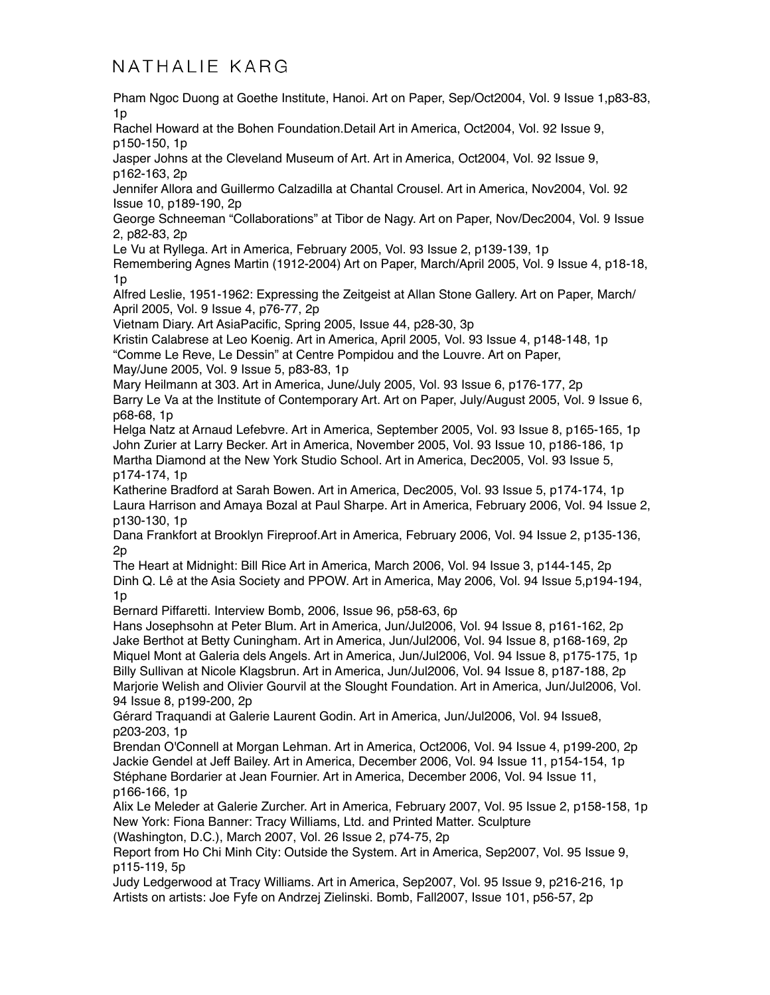Pham Ngoc Duong at Goethe Institute, Hanoi. Art on Paper, Sep/Oct2004, Vol. 9 Issue 1,p83-83, 1p

Rachel Howard at the Bohen Foundation.Detail Art in America, Oct2004, Vol. 92 Issue 9, p150-150, 1p

Jasper Johns at the Cleveland Museum of Art. Art in America, Oct2004, Vol. 92 Issue 9, p162-163, 2p

Jennifer Allora and Guillermo Calzadilla at Chantal Crousel. Art in America, Nov2004, Vol. 92 Issue 10, p189-190, 2p

George Schneeman "Collaborations" at Tibor de Nagy. Art on Paper, Nov/Dec2004, Vol. 9 Issue 2, p82-83, 2p

Le Vu at Ryllega. Art in America, February 2005, Vol. 93 Issue 2, p139-139, 1p

Remembering Agnes Martin (1912-2004) Art on Paper, March/April 2005, Vol. 9 Issue 4, p18-18, 1p

Alfred Leslie, 1951-1962: Expressing the Zeitgeist at Allan Stone Gallery. Art on Paper, March/ April 2005, Vol. 9 Issue 4, p76-77, 2p

Vietnam Diary. Art AsiaPacific, Spring 2005, Issue 44, p28-30, 3p

Kristin Calabrese at Leo Koenig. Art in America, April 2005, Vol. 93 Issue 4, p148-148, 1p "Comme Le Reve, Le Dessin" at Centre Pompidou and the Louvre. Art on Paper,

May/June 2005, Vol. 9 Issue 5, p83-83, 1p

Mary Heilmann at 303. Art in America, June/July 2005, Vol. 93 Issue 6, p176-177, 2p Barry Le Va at the Institute of Contemporary Art. Art on Paper, July/August 2005, Vol. 9 Issue 6, p68-68, 1p

Helga Natz at Arnaud Lefebvre. Art in America, September 2005, Vol. 93 Issue 8, p165-165, 1p John Zurier at Larry Becker. Art in America, November 2005, Vol. 93 Issue 10, p186-186, 1p Martha Diamond at the New York Studio School. Art in America, Dec2005, Vol. 93 Issue 5, p174-174, 1p

Katherine Bradford at Sarah Bowen. Art in America, Dec2005, Vol. 93 Issue 5, p174-174, 1p Laura Harrison and Amaya Bozal at Paul Sharpe. Art in America, February 2006, Vol. 94 Issue 2, p130-130, 1p

Dana Frankfort at Brooklyn Fireproof.Art in America, February 2006, Vol. 94 Issue 2, p135-136, 2p

The Heart at Midnight: Bill Rice Art in America, March 2006, Vol. 94 Issue 3, p144-145, 2p Dinh Q. Lê at the Asia Society and PPOW. Art in America, May 2006, Vol. 94 Issue 5,p194-194, 1p

Bernard Piffaretti. Interview Bomb, 2006, Issue 96, p58-63, 6p

Hans Josephsohn at Peter Blum. Art in America, Jun/Jul2006, Vol. 94 Issue 8, p161-162, 2p Jake Berthot at Betty Cuningham. Art in America, Jun/Jul2006, Vol. 94 Issue 8, p168-169, 2p Miquel Mont at Galeria dels Angels. Art in America, Jun/Jul2006, Vol. 94 Issue 8, p175-175, 1p Billy Sullivan at Nicole Klagsbrun. Art in America, Jun/Jul2006, Vol. 94 Issue 8, p187-188, 2p Marjorie Welish and Olivier Gourvil at the Slought Foundation. Art in America, Jun/Jul2006, Vol. 94 Issue 8, p199-200, 2p

Gérard Traquandi at Galerie Laurent Godin. Art in America, Jun/Jul2006, Vol. 94 Issue8, p203-203, 1p

Brendan O'Connell at Morgan Lehman. Art in America, Oct2006, Vol. 94 Issue 4, p199-200, 2p Jackie Gendel at Jeff Bailey. Art in America, December 2006, Vol. 94 Issue 11, p154-154, 1p Stéphane Bordarier at Jean Fournier. Art in America, December 2006, Vol. 94 Issue 11, p166-166, 1p

Alix Le Meleder at Galerie Zurcher. Art in America, February 2007, Vol. 95 Issue 2, p158-158, 1p New York: Fiona Banner: Tracy Williams, Ltd. and Printed Matter. Sculpture

(Washington, D.C.), March 2007, Vol. 26 Issue 2, p74-75, 2p

Report from Ho Chi Minh City: Outside the System. Art in America, Sep2007, Vol. 95 Issue 9, p115-119, 5p

Judy Ledgerwood at Tracy Williams. Art in America, Sep2007, Vol. 95 Issue 9, p216-216, 1p Artists on artists: Joe Fyfe on Andrzej Zielinski. Bomb, Fall2007, Issue 101, p56-57, 2p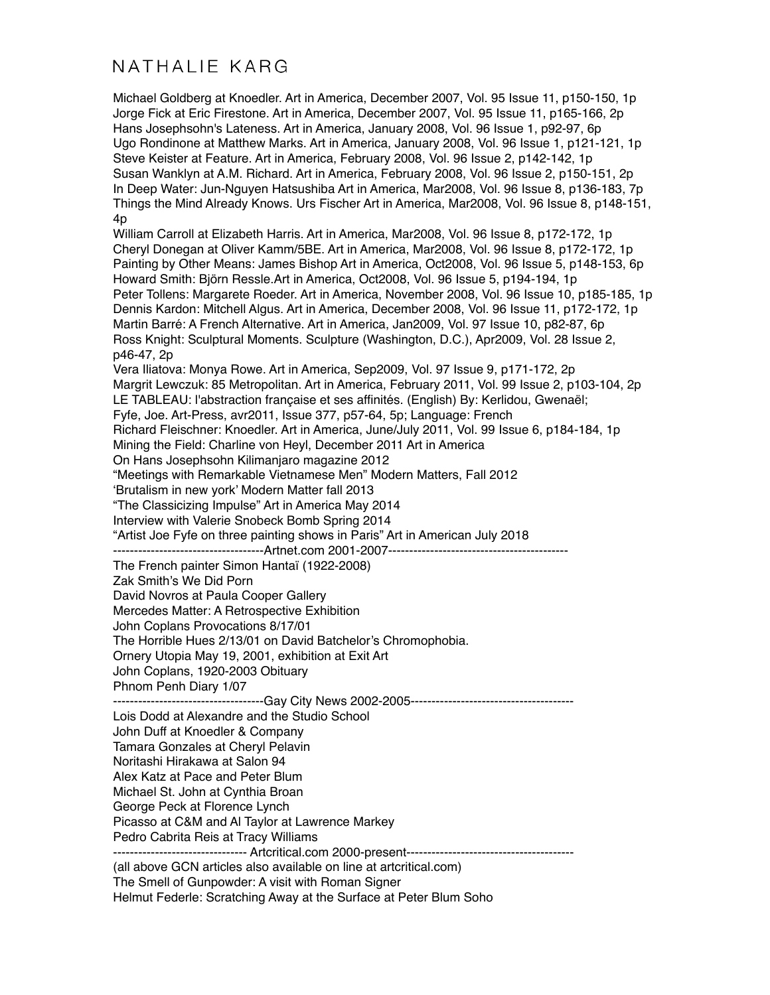Michael Goldberg at Knoedler. Art in America, December 2007, Vol. 95 Issue 11, p150-150, 1p Jorge Fick at Eric Firestone. Art in America, December 2007, Vol. 95 Issue 11, p165-166, 2p Hans Josephsohn's Lateness. Art in America, January 2008, Vol. 96 Issue 1, p92-97, 6p Ugo Rondinone at Matthew Marks. Art in America, January 2008, Vol. 96 Issue 1, p121-121, 1p Steve Keister at Feature. Art in America, February 2008, Vol. 96 Issue 2, p142-142, 1p Susan Wanklyn at A.M. Richard. Art in America, February 2008, Vol. 96 Issue 2, p150-151, 2p In Deep Water: Jun-Nguyen Hatsushiba Art in America, Mar2008, Vol. 96 Issue 8, p136-183, 7p Things the Mind Already Knows. Urs Fischer Art in America, Mar2008, Vol. 96 Issue 8, p148-151, 4p William Carroll at Elizabeth Harris. Art in America, Mar2008, Vol. 96 Issue 8, p172-172, 1p Cheryl Donegan at Oliver Kamm/5BE. Art in America, Mar2008, Vol. 96 Issue 8, p172-172, 1p Painting by Other Means: James Bishop Art in America, Oct2008, Vol. 96 Issue 5, p148-153, 6p Howard Smith: Björn Ressle.Art in America, Oct2008, Vol. 96 Issue 5, p194-194, 1p Peter Tollens: Margarete Roeder. Art in America, November 2008, Vol. 96 Issue 10, p185-185, 1p Dennis Kardon: Mitchell Algus. Art in America, December 2008, Vol. 96 Issue 11, p172-172, 1p Martin Barré: A French Alternative. Art in America, Jan2009, Vol. 97 Issue 10, p82-87, 6p Ross Knight: Sculptural Moments. Sculpture (Washington, D.C.), Apr2009, Vol. 28 Issue 2, p46-47, 2p Vera Iliatova: Monya Rowe. Art in America, Sep2009, Vol. 97 Issue 9, p171-172, 2p Margrit Lewczuk: 85 Metropolitan. Art in America, February 2011, Vol. 99 Issue 2, p103-104, 2p LE TABLEAU: l'abstraction française et ses affinités. (English) By: Kerlidou, Gwenaël; Fyfe, Joe. Art-Press, avr2011, Issue 377, p57-64, 5p; Language: French Richard Fleischner: Knoedler. Art in America, June/July 2011, Vol. 99 Issue 6, p184-184, 1p Mining the Field: Charline von Heyl, December 2011 Art in America On Hans Josephsohn Kilimanjaro magazine 2012 "Meetings with Remarkable Vietnamese Men" Modern Matters, Fall 2012 'Brutalism in new york' Modern Matter fall 2013 "The Classicizing Impulse" Art in America May 2014 Interview with Valerie Snobeck Bomb Spring 2014 "Artist Joe Fyfe on three painting shows in Paris" Art in American July 2018 ------------------------------------Artnet.com 2001-2007------------------------------------------- The French painter Simon Hantaï (1922-2008) Zak Smith's We Did Porn David Novros at Paula Cooper Gallery Mercedes Matter: A Retrospective Exhibition John Coplans Provocations 8/17/01 The Horrible Hues 2/13/01 on David Batchelor's Chromophobia. Ornery Utopia May 19, 2001, exhibition at Exit Art John Coplans, 1920-2003 Obituary Phnom Penh Diary 1/07 ------------------------------------Gay City News 2002-2005--------------------------------------- Lois Dodd at Alexandre and the Studio School John Duff at Knoedler & Company Tamara Gonzales at Cheryl Pelavin Noritashi Hirakawa at Salon 94 Alex Katz at Pace and Peter Blum Michael St. John at Cynthia Broan George Peck at Florence Lynch Picasso at C&M and Al Taylor at Lawrence Markey Pedro Cabrita Reis at Tracy Williams -------------------------------- Artcritical.com 2000-present---------------------------------------- (all above GCN articles also available on line at artcritical.com) The Smell of Gunpowder: A visit with Roman Signer Helmut Federle: Scratching Away at the Surface at Peter Blum Soho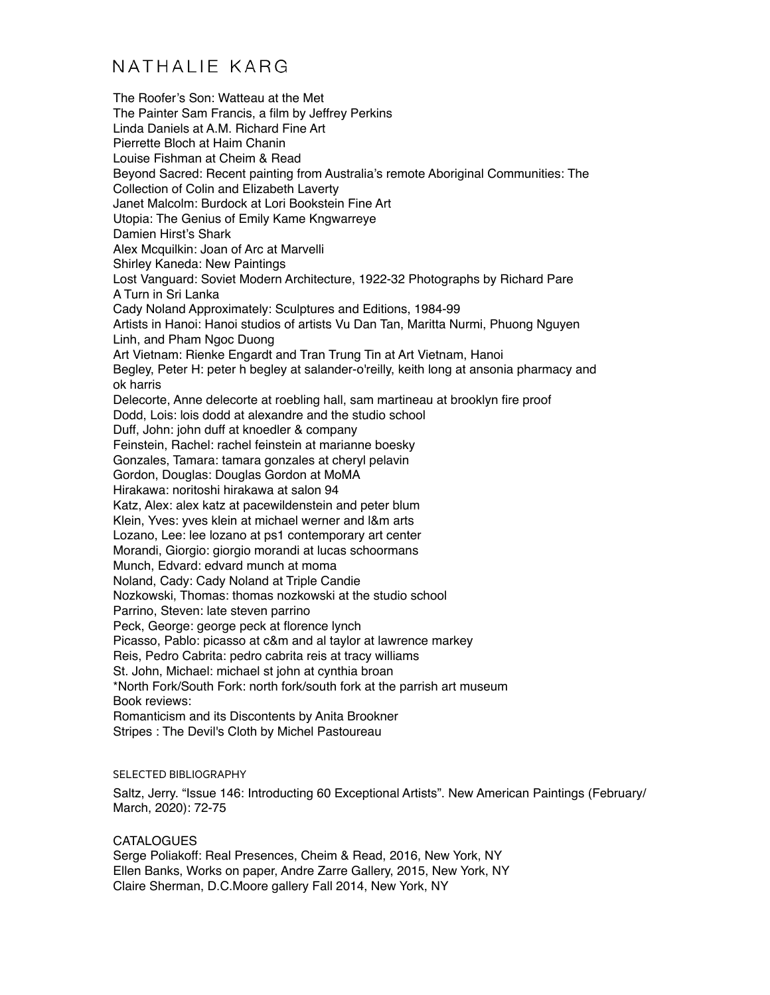The Roofer's Son: Watteau at the Met The Painter Sam Francis, a film by Jeffrey Perkins Linda Daniels at A.M. Richard Fine Art Pierrette Bloch at Haim Chanin Louise Fishman at Cheim & Read Beyond Sacred: Recent painting from Australia's remote Aboriginal Communities: The Collection of Colin and Elizabeth Laverty Janet Malcolm: Burdock at Lori Bookstein Fine Art Utopia: The Genius of Emily Kame Kngwarreye Damien Hirst's Shark Alex Mcquilkin: Joan of Arc at Marvelli Shirley Kaneda: New Paintings Lost Vanguard: Soviet Modern Architecture, 1922-32 Photographs by Richard Pare A Turn in Sri Lanka Cady Noland Approximately: Sculptures and Editions, 1984-99 Artists in Hanoi: Hanoi studios of artists Vu Dan Tan, Maritta Nurmi, Phuong Nguyen Linh, and Pham Ngoc Duong Art Vietnam: Rienke Engardt and Tran Trung Tin at Art Vietnam, Hanoi Begley, Peter H: peter h begley at salander-o'reilly, keith long at ansonia pharmacy and ok harris Delecorte, Anne delecorte at roebling hall, sam martineau at brooklyn fire proof Dodd, Lois: lois dodd at alexandre and the studio school Duff, John: john duff at knoedler & company Feinstein, Rachel: rachel feinstein at marianne boesky Gonzales, Tamara: tamara gonzales at cheryl pelavin Gordon, Douglas: Douglas Gordon at MoMA Hirakawa: noritoshi hirakawa at salon 94 Katz, Alex: alex katz at pacewildenstein and peter blum Klein, Yves: yves klein at michael werner and l&m arts Lozano, Lee: lee lozano at ps1 contemporary art center Morandi, Giorgio: giorgio morandi at lucas schoormans Munch, Edvard: edvard munch at moma Noland, Cady: Cady Noland at Triple Candie Nozkowski, Thomas: thomas nozkowski at the studio school Parrino, Steven: late steven parrino Peck, George: george peck at florence lynch Picasso, Pablo: picasso at c&m and al taylor at lawrence markey Reis, Pedro Cabrita: pedro cabrita reis at tracy williams St. John, Michael: michael st john at cynthia broan \*North Fork/South Fork: north fork/south fork at the parrish art museum Book reviews: Romanticism and its Discontents by Anita Brookner Stripes : The Devil's Cloth by Michel Pastoureau

#### SELECTED BIBLIOGRAPHY

Saltz, Jerry. "Issue 146: Introducting 60 Exceptional Artists". New American Paintings (February/ March, 2020): 72-75

#### **CATALOGUES**

Serge Poliakoff: Real Presences, Cheim & Read, 2016, New York, NY Ellen Banks, Works on paper, Andre Zarre Gallery, 2015, New York, NY Claire Sherman, D.C.Moore gallery Fall 2014, New York, NY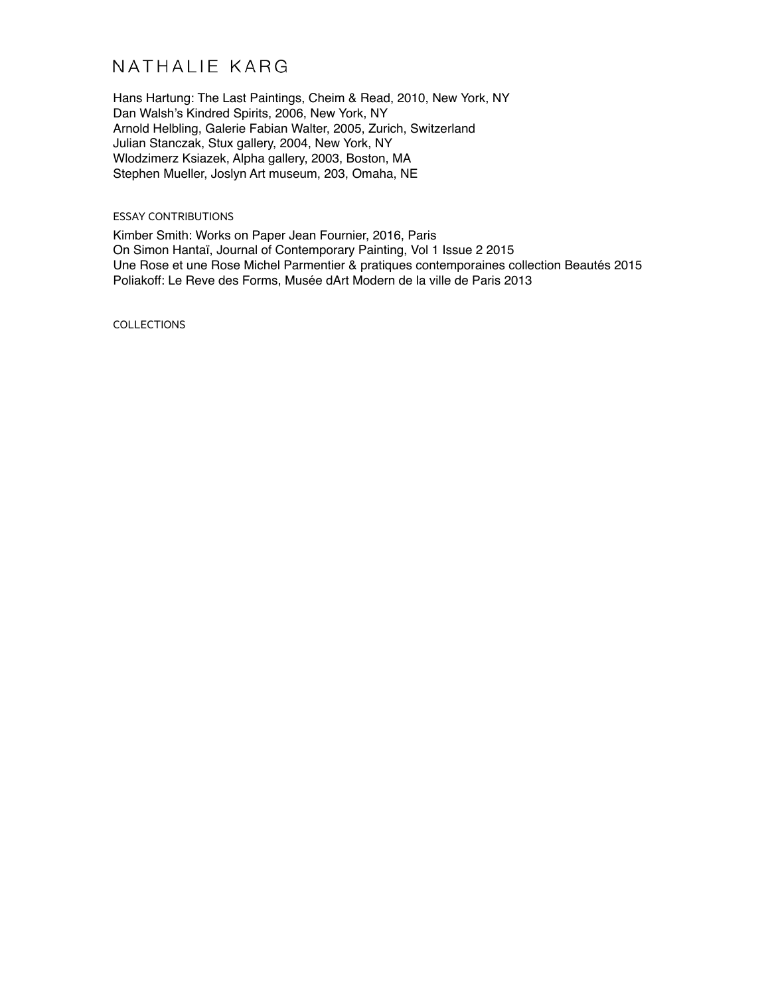Hans Hartung: The Last Paintings, Cheim & Read, 2010, New York, NY Dan Walsh's Kindred Spirits, 2006, New York, NY Arnold Helbling, Galerie Fabian Walter, 2005, Zurich, Switzerland Julian Stanczak, Stux gallery, 2004, New York, NY Wlodzimerz Ksiazek, Alpha gallery, 2003, Boston, MA Stephen Mueller, Joslyn Art museum, 203, Omaha, NE

#### ESSAY CONTRIBUTIONS

Kimber Smith: Works on Paper Jean Fournier, 2016, Paris On Simon Hantaï, Journal of Contemporary Painting, Vol 1 Issue 2 2015 Une Rose et une Rose Michel Parmentier & pratiques contemporaines collection Beautés 2015 Poliakoff: Le Reve des Forms, Musée dArt Modern de la ville de Paris 2013

COLLECTIONS